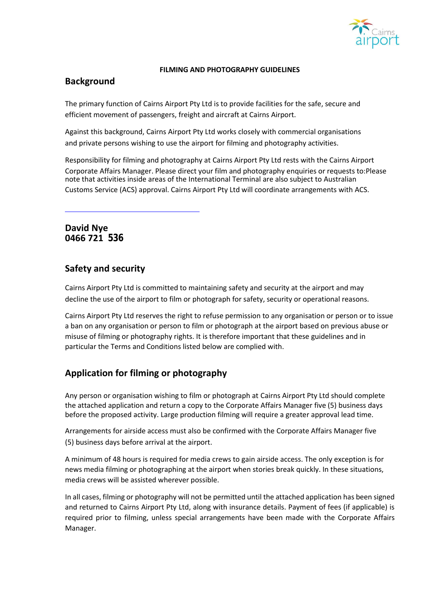

#### **FILMING AND PHOTOGRAPHY GUIDELINES**

## **Background**

The primary function of Cairns Airport Pty Ltd is to provide facilities for the safe, secure and efficient movement of passengers, freight and aircraft at Cairns Airport.

Against this background, Cairns Airport Pty Ltd works closely with commercial organisations and private persons wishing to use the airport for filming and photography activities.

Responsibility for filming and photography at Cairns Airport Pty Ltd rests with the Cairns Airport Corporate Affairs Manager. Please direct your film and photography enquiries or requests to:Please note that activities inside areas of the International Terminal are also subject to Australian Customs Service (ACS) approval. Cairns Airport Pty Ltd will coordinate arrangements with ACS.

**David Nye 0466 721 536**

## **Safety and security**

Cairns Airport Pty Ltd is committed to maintaining safety and security at the airport and may decline the use of the airport to film or photograph for safety, security or operational reasons.

Cairns Airport Pty Ltd reserves the right to refuse permission to any organisation or person or to issue a ban on any organisation or person to film or photograph at the airport based on previous abuse or misuse of filming or photography rights. It is therefore important that these guidelines and in particular the Terms and Conditions listed below are complied with.

# **Application for filming or photography**

Any person or organisation wishing to film or photograph at Cairns Airport Pty Ltd should complete the attached application and return a copy to the Corporate Affairs Manager five (5) business days before the proposed activity. Large production filming will require a greater approval lead time.

Arrangements for airside access must also be confirmed with the Corporate Affairs Manager five (5) business days before arrival at the airport.

A minimum of 48 hours is required for media crews to gain airside access. The only exception is for news media filming or photographing at the airport when stories break quickly. In these situations, media crews will be assisted wherever possible.

In all cases, filming or photography will not be permitted until the attached application has been signed and returned to Cairns Airport Pty Ltd, along with insurance details. Payment of fees (if applicable) is required prior to filming, unless special arrangements have been made with the Corporate Affairs Manager.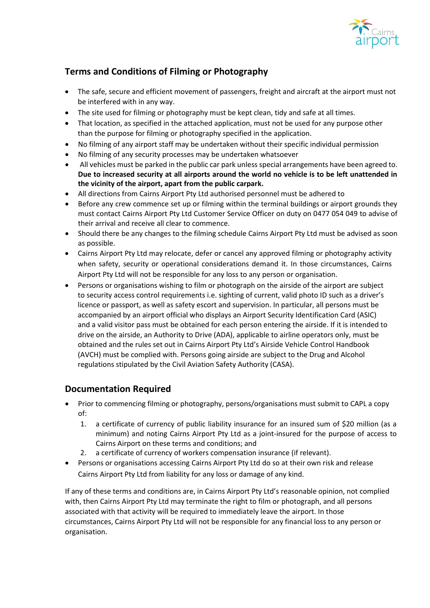

# **Terms and Conditions of Filming or Photography**

- The safe, secure and efficient movement of passengers, freight and aircraft at the airport must not be interfered with in any way.
- The site used for filming or photography must be kept clean, tidy and safe at all times.
- That location, as specified in the attached application, must not be used for any purpose other than the purpose for filming or photography specified in the application.
- No filming of any airport staff may be undertaken without their specific individual permission
- No filming of any security processes may be undertaken whatsoever
- All vehicles must be parked in the public car park unless special arrangements have been agreed to. **Due to increased security at all airports around the world no vehicle is to be left unattended in the vicinity of the airport, apart from the public carpark.**
- All directions from Cairns Airport Pty Ltd authorised personnel must be adhered to
- Before any crew commence set up or filming within the terminal buildings or airport grounds they must contact Cairns Airport Pty Ltd Customer Service Officer on duty on 0477 054 049 to advise of their arrival and receive all clear to commence.
- Should there be any changes to the filming schedule Cairns Airport Pty Ltd must be advised as soon as possible.
- Cairns Airport Pty Ltd may relocate, defer or cancel any approved filming or photography activity when safety, security or operational considerations demand it. In those circumstances, Cairns Airport Pty Ltd will not be responsible for any loss to any person or organisation.
- Persons or organisations wishing to film or photograph on the airside of the airport are subject to security access control requirements i.e. sighting of current, valid photo ID such as a driver's licence or passport, as well as safety escort and supervision. In particular, all persons must be accompanied by an airport official who displays an Airport Security Identification Card (ASIC) and a valid visitor pass must be obtained for each person entering the airside. If it is intended to drive on the airside, an Authority to Drive (ADA), applicable to airline operators only, must be obtained and the rules set out in Cairns Airport Pty Ltd's Airside Vehicle Control Handbook (AVCH) must be complied with. Persons going airside are subject to the Drug and Alcohol regulations stipulated by the Civil Aviation Safety Authority (CASA).

## **Documentation Required**

- Prior to commencing filming or photography, persons/organisations must submit to CAPL a copy of:
	- 1. a certificate of currency of public liability insurance for an insured sum of \$20 million (as a minimum) and noting Cairns Airport Pty Ltd as a joint-insured for the purpose of access to Cairns Airport on these terms and conditions; and
	- 2. a certificate of currency of workers compensation insurance (if relevant).
- Persons or organisations accessing Cairns Airport Pty Ltd do so at their own risk and release Cairns Airport Pty Ltd from liability for any loss or damage of any kind.

If any of these terms and conditions are, in Cairns Airport Pty Ltd's reasonable opinion, not complied with, then Cairns Airport Pty Ltd may terminate the right to film or photograph, and all persons associated with that activity will be required to immediately leave the airport. In those circumstances, Cairns Airport Pty Ltd will not be responsible for any financial loss to any person or organisation.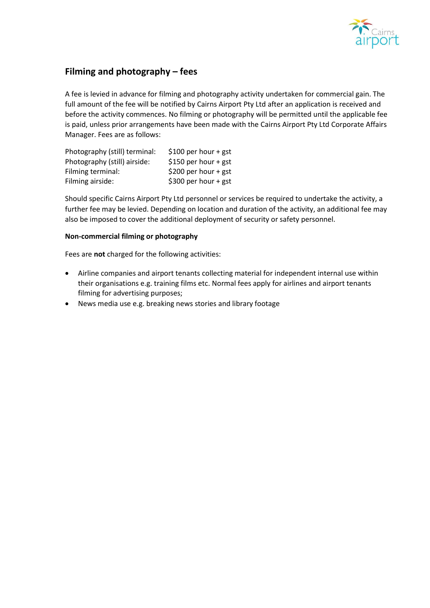

# **Filming and photography – fees**

A fee is levied in advance for filming and photography activity undertaken for commercial gain. The full amount of the fee will be notified by Cairns Airport Pty Ltd after an application is received and before the activity commences. No filming or photography will be permitted until the applicable fee is paid, unless prior arrangements have been made with the Cairns Airport Pty Ltd Corporate Affairs Manager. Fees are as follows:

| Photography (still) terminal: | \$100 per hour + gst |
|-------------------------------|----------------------|
| Photography (still) airside:  | \$150 per hour + gst |
| Filming terminal:             | \$200 per hour + gst |
| Filming airside:              | \$300 per hour + gst |

Should specific Cairns Airport Pty Ltd personnel or services be required to undertake the activity, a further fee may be levied. Depending on location and duration of the activity, an additional fee may also be imposed to cover the additional deployment of security or safety personnel.

#### **Non-commercial filming or photography**

Fees are **not** charged for the following activities:

- Airline companies and airport tenants collecting material for independent internal use within their organisations e.g. training films etc. Normal fees apply for airlines and airport tenants filming for advertising purposes;
- News media use e.g. breaking news stories and library footage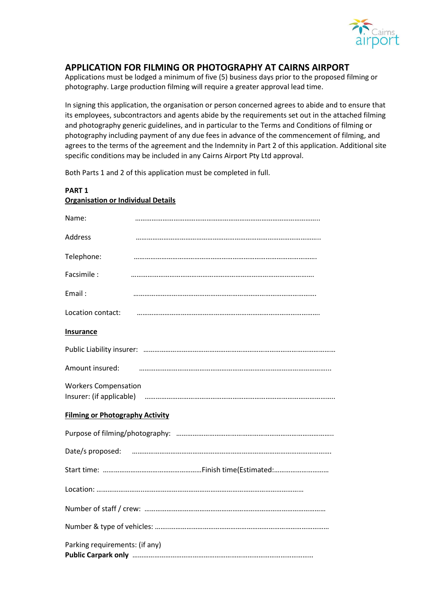

### **APPLICATION FOR FILMING OR PHOTOGRAPHY AT CAIRNS AIRPORT**

Applications must be lodged a minimum of five (5) business days prior to the proposed filming or photography. Large production filming will require a greater approval lead time.

In signing this application, the organisation or person concerned agrees to abide and to ensure that its employees, subcontractors and agents abide by the requirements set out in the attached filming and photography generic guidelines, and in particular to the Terms and Conditions of filming or photography including payment of any due fees in advance of the commencement of filming, and agrees to the terms of the agreement and the Indemnity in Part 2 of this application. Additional site specific conditions may be included in any Cairns Airport Pty Ltd approval.

Both Parts 1 and 2 of this application must be completed in full.

| <u> Organisation or muividual Details</u> |  |  |
|-------------------------------------------|--|--|
| Name:                                     |  |  |
| <b>Address</b>                            |  |  |
| Telephone:                                |  |  |
| Facsimile:                                |  |  |
| Email:                                    |  |  |
| Location contact:                         |  |  |
| <b>Insurance</b>                          |  |  |
|                                           |  |  |
| Amount insured:                           |  |  |
| <b>Workers Compensation</b>               |  |  |
| <b>Filming or Photography Activity</b>    |  |  |
|                                           |  |  |
|                                           |  |  |
|                                           |  |  |
|                                           |  |  |
|                                           |  |  |
|                                           |  |  |
| Parking requirements: (if any)            |  |  |

## **PART 1 Organisation or Individual Details**